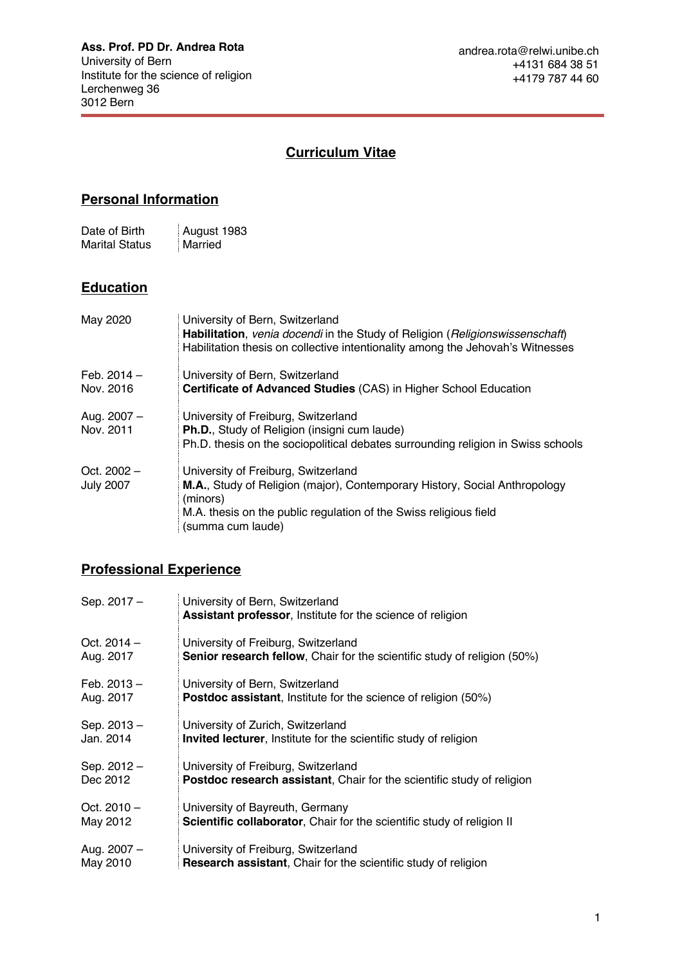# **Curriculum Vitae**

## **Personal Information**

| Date of Birth         | August 1983 |
|-----------------------|-------------|
| <b>Marital Status</b> | Married     |

### **Education**

| May 2020                          | University of Bern, Switzerland<br>Habilitation, venia docendi in the Study of Religion (Religionswissenschaft)<br>Habilitation thesis on collective intentionality among the Jehovah's Witnesses                       |
|-----------------------------------|-------------------------------------------------------------------------------------------------------------------------------------------------------------------------------------------------------------------------|
| Feb. $2014 -$<br>Nov. 2016        | University of Bern, Switzerland<br>Certificate of Advanced Studies (CAS) in Higher School Education                                                                                                                     |
| Aug. 2007 -<br>Nov. 2011          | University of Freiburg, Switzerland<br>Ph.D., Study of Religion (insigni cum laude)<br>Ph.D. thesis on the sociopolitical debates surrounding religion in Swiss schools                                                 |
| Oct. $2002 -$<br><b>July 2007</b> | University of Freiburg, Switzerland<br>M.A., Study of Religion (major), Contemporary History, Social Anthropology<br>(minors)<br>M.A. thesis on the public regulation of the Swiss religious field<br>(summa cum laude) |

### **Professional Experience**

| Sep. 2017 -   | University of Bern, Switzerland<br><b>Assistant professor, Institute for the science of religion</b> |
|---------------|------------------------------------------------------------------------------------------------------|
| Oct. $2014 -$ | University of Freiburg, Switzerland                                                                  |
| Aug. 2017     | <b>Senior research fellow</b> , Chair for the scientific study of religion (50%)                     |
| Feb. $2013 -$ | University of Bern, Switzerland                                                                      |
| Aug. 2017     | <b>Postdoc assistant</b> , Institute for the science of religion (50%)                               |
| Sep. 2013-    | University of Zurich, Switzerland                                                                    |
| Jan. 2014     | <b>Invited lecturer, Institute for the scientific study of religion</b>                              |
| Sep. 2012-    | University of Freiburg, Switzerland                                                                  |
| Dec 2012      | <b>Postdoc research assistant, Chair for the scientific study of religion</b>                        |
| Oct. $2010 -$ | University of Bayreuth, Germany                                                                      |
| May 2012      | <b>Scientific collaborator, Chair for the scientific study of religion II</b>                        |
| Aug. 2007 -   | University of Freiburg, Switzerland                                                                  |
| May 2010      | <b>Research assistant, Chair for the scientific study of religion</b>                                |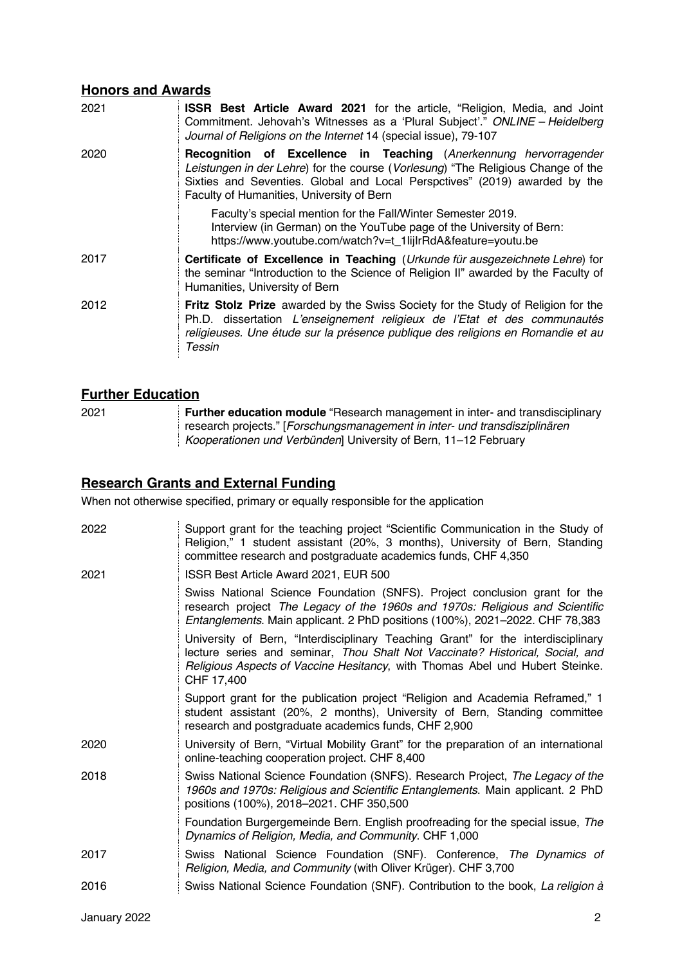### **Honors and Awards**

| 2021 | <b>ISSR Best Article Award 2021</b> for the article, "Religion, Media, and Joint<br>Commitment. Jehovah's Witnesses as a 'Plural Subject'." ONLINE - Heidelberg<br>Journal of Religions on the Internet 14 (special issue), 79-107                                               |
|------|----------------------------------------------------------------------------------------------------------------------------------------------------------------------------------------------------------------------------------------------------------------------------------|
| 2020 | Recognition of Excellence in Teaching (Anerkennung hervorragender<br>Leistungen in der Lehre) for the course (Vorlesung) "The Religious Change of the<br>Sixties and Seventies. Global and Local Perspctives" (2019) awarded by the<br>Faculty of Humanities, University of Bern |
|      | Faculty's special mention for the Fall/Winter Semester 2019.<br>Interview (in German) on the YouTube page of the University of Bern:<br>https://www.youtube.com/watch?v=t_1lijlrRdA&feature=youtu.be                                                                             |
| 2017 | Certificate of Excellence in Teaching (Urkunde für ausgezeichnete Lehre) for<br>the seminar "Introduction to the Science of Religion II" awarded by the Faculty of<br>Humanities, University of Bern                                                                             |
| 2012 | Fritz Stolz Prize awarded by the Swiss Society for the Study of Religion for the<br>Ph.D. dissertation L'enseignement religieux de l'Etat et des communautés<br>religieuses. Une étude sur la présence publique des religions en Romandie et au<br>Tessin                        |

### **Further Education**

| 2021 | Further education module "Research management in inter- and transdisciplinary |
|------|-------------------------------------------------------------------------------|
|      | research projects." [Forschungsmanagement in inter- und transdisziplinären    |
|      | Kooperationen und Verbünden University of Bern, 11-12 February                |

### **Research Grants and External Funding**

When not otherwise specified, primary or equally responsible for the application

| 2022 | Support grant for the teaching project "Scientific Communication in the Study of<br>Religion," 1 student assistant (20%, 3 months), University of Bern, Standing<br>committee research and postgraduate academics funds, CHF 4,350                              |
|------|-----------------------------------------------------------------------------------------------------------------------------------------------------------------------------------------------------------------------------------------------------------------|
| 2021 | ISSR Best Article Award 2021, EUR 500                                                                                                                                                                                                                           |
|      | Swiss National Science Foundation (SNFS). Project conclusion grant for the<br>research project The Legacy of the 1960s and 1970s: Religious and Scientific<br>Entanglements. Main applicant. 2 PhD positions (100%), 2021–2022. CHF 78,383                      |
|      | University of Bern, "Interdisciplinary Teaching Grant" for the interdisciplinary<br>lecture series and seminar, Thou Shalt Not Vaccinate? Historical, Social, and<br>Religious Aspects of Vaccine Hesitancy, with Thomas Abel und Hubert Steinke.<br>CHF 17,400 |
|      | Support grant for the publication project "Religion and Academia Reframed," 1<br>student assistant (20%, 2 months), University of Bern, Standing committee<br>research and postgraduate academics funds, CHF 2,900                                              |
| 2020 | University of Bern, "Virtual Mobility Grant" for the preparation of an international<br>online-teaching cooperation project. CHF 8,400                                                                                                                          |
| 2018 | Swiss National Science Foundation (SNFS). Research Project, The Legacy of the<br>1960s and 1970s: Religious and Scientific Entanglements. Main applicant. 2 PhD<br>positions (100%), 2018-2021. CHF 350,500                                                     |
|      | Foundation Burgergemeinde Bern. English proofreading for the special issue, The<br>Dynamics of Religion, Media, and Community. CHF 1,000                                                                                                                        |
| 2017 | Swiss National Science Foundation (SNF). Conference, The Dynamics of<br>Religion, Media, and Community (with Oliver Krüger). CHF 3,700                                                                                                                          |
| 2016 | Swiss National Science Foundation (SNF). Contribution to the book, La religion à                                                                                                                                                                                |
|      |                                                                                                                                                                                                                                                                 |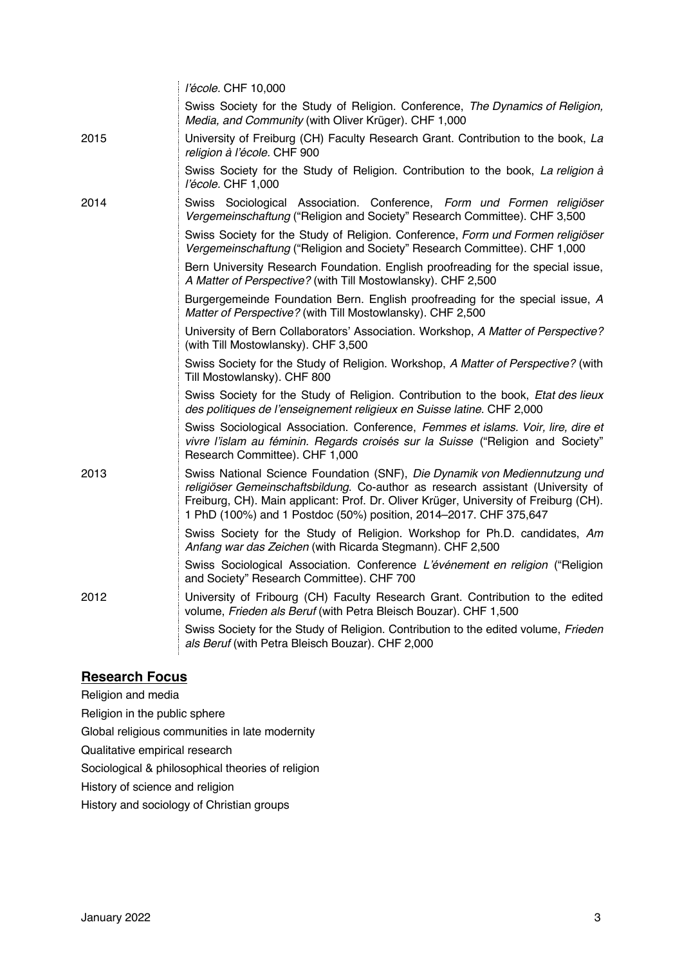|      | l'école. CHF 10,000                                                                                                                                                                                                                                                                                                        |
|------|----------------------------------------------------------------------------------------------------------------------------------------------------------------------------------------------------------------------------------------------------------------------------------------------------------------------------|
|      | Swiss Society for the Study of Religion. Conference, The Dynamics of Religion,<br>Media, and Community (with Oliver Krüger). CHF 1,000                                                                                                                                                                                     |
| 2015 | University of Freiburg (CH) Faculty Research Grant. Contribution to the book, La<br>religion à l'école. CHF 900                                                                                                                                                                                                            |
|      | Swiss Society for the Study of Religion. Contribution to the book, La religion à<br>l'école. CHF 1,000                                                                                                                                                                                                                     |
| 2014 | Swiss Sociological Association. Conference, Form und Formen religiöser<br>Vergemeinschaftung ("Religion and Society" Research Committee). CHF 3,500                                                                                                                                                                        |
|      | Swiss Society for the Study of Religion. Conference, Form und Formen religiöser<br>Vergemeinschaftung ("Religion and Society" Research Committee). CHF 1,000                                                                                                                                                               |
|      | Bern University Research Foundation. English proofreading for the special issue,<br>A Matter of Perspective? (with Till Mostowlansky). CHF 2,500                                                                                                                                                                           |
|      | Burgergemeinde Foundation Bern. English proofreading for the special issue, A<br>Matter of Perspective? (with Till Mostowlansky). CHF 2,500                                                                                                                                                                                |
|      | University of Bern Collaborators' Association. Workshop, A Matter of Perspective?<br>(with Till Mostowlansky). CHF 3,500                                                                                                                                                                                                   |
|      | Swiss Society for the Study of Religion. Workshop, A Matter of Perspective? (with<br>Till Mostowlansky). CHF 800                                                                                                                                                                                                           |
|      | Swiss Society for the Study of Religion. Contribution to the book, Etat des lieux<br>des politiques de l'enseignement religieux en Suisse latine. CHF 2,000                                                                                                                                                                |
|      | Swiss Sociological Association. Conference, Femmes et islams. Voir, lire, dire et<br>vivre l'islam au féminin. Regards croisés sur la Suisse ("Religion and Society"<br>Research Committee). CHF 1,000                                                                                                                     |
| 2013 | Swiss National Science Foundation (SNF), Die Dynamik von Mediennutzung und<br>religiöser Gemeinschaftsbildung. Co-author as research assistant (University of<br>Freiburg, CH). Main applicant: Prof. Dr. Oliver Krüger, University of Freiburg (CH).<br>1 PhD (100%) and 1 Postdoc (50%) position, 2014-2017. CHF 375,647 |
|      | Swiss Society for the Study of Religion. Workshop for Ph.D. candidates, Am<br>Anfang war das Zeichen (with Ricarda Stegmann). CHF 2,500                                                                                                                                                                                    |
|      | Swiss Sociological Association. Conference L'événement en religion ("Religion<br>and Society" Research Committee). CHF 700                                                                                                                                                                                                 |
| 2012 | University of Fribourg (CH) Faculty Research Grant. Contribution to the edited<br>volume, Frieden als Beruf (with Petra Bleisch Bouzar). CHF 1,500                                                                                                                                                                         |
|      | Swiss Society for the Study of Religion. Contribution to the edited volume, Frieden<br>als Beruf (with Petra Bleisch Bouzar). CHF 2,000                                                                                                                                                                                    |

### **Research Focus**

Religion and media

Religion in the public sphere

Global religious communities in late modernity

Qualitative empirical research

Sociological & philosophical theories of religion

History of science and religion

History and sociology of Christian groups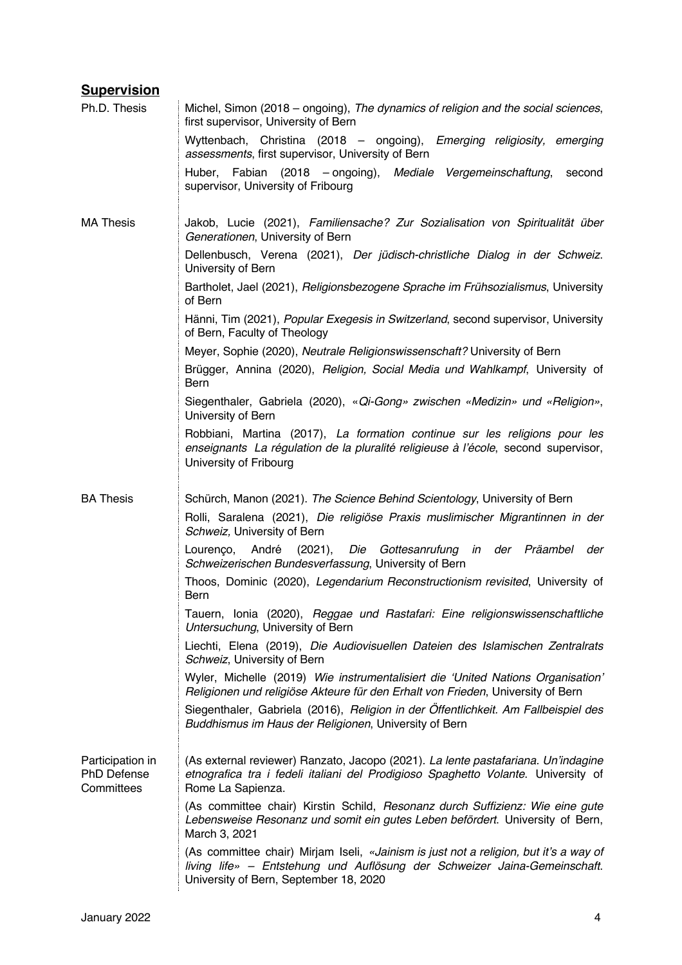## **Supervision**

| Ph.D. Thesis                                         | Michel, Simon (2018 – ongoing), The dynamics of religion and the social sciences,<br>first supervisor, University of Bern                                                                                    |
|------------------------------------------------------|--------------------------------------------------------------------------------------------------------------------------------------------------------------------------------------------------------------|
|                                                      | Wyttenbach, Christina (2018 – ongoing), Emerging religiosity, emerging<br>assessments, first supervisor, University of Bern                                                                                  |
|                                                      | Huber, Fabian (2018 – ongoing), Mediale Vergemeinschaftung,<br>second<br>supervisor, University of Fribourg                                                                                                  |
| <b>MA Thesis</b>                                     | Jakob, Lucie (2021), Familiensache? Zur Sozialisation von Spiritualität über<br>Generationen, University of Bern                                                                                             |
|                                                      | Dellenbusch, Verena (2021), Der jüdisch-christliche Dialog in der Schweiz.<br>University of Bern                                                                                                             |
|                                                      | Bartholet, Jael (2021), Religionsbezogene Sprache im Frühsozialismus, University<br>of Bern                                                                                                                  |
|                                                      | Hänni, Tim (2021), Popular Exegesis in Switzerland, second supervisor, University<br>of Bern, Faculty of Theology                                                                                            |
|                                                      | Meyer, Sophie (2020), Neutrale Religionswissenschaft? University of Bern                                                                                                                                     |
|                                                      | Brügger, Annina (2020), Religion, Social Media und Wahlkampf, University of<br>Bern                                                                                                                          |
|                                                      | Siegenthaler, Gabriela (2020), «Qi-Gong» zwischen «Medizin» und «Religion»,<br>University of Bern                                                                                                            |
|                                                      | Robbiani, Martina (2017), La formation continue sur les religions pour les<br>enseignants La régulation de la pluralité religieuse à l'école, second supervisor,<br>University of Fribourg                   |
| <b>BA Thesis</b>                                     | Schürch, Manon (2021). The Science Behind Scientology, University of Bern                                                                                                                                    |
|                                                      | Rolli, Saralena (2021), Die religiöse Praxis muslimischer Migrantinnen in der<br>Schweiz, University of Bern                                                                                                 |
|                                                      | Lourenço, André<br>(2021), Die Gottesanrufung in der Präambel<br>der<br>Schweizerischen Bundesverfassung, University of Bern                                                                                 |
|                                                      | Thoos, Dominic (2020), Legendarium Reconstructionism revisited, University of<br>Bern                                                                                                                        |
|                                                      | Tauern, Ionia (2020), Reggae und Rastafari: Eine religionswissenschaftliche<br>Untersuchung, University of Bern                                                                                              |
|                                                      | Liechti, Elena (2019), Die Audiovisuellen Dateien des Islamischen Zentralrats<br>Schweiz, University of Bern                                                                                                 |
|                                                      | Wyler, Michelle (2019) Wie instrumentalisiert die 'United Nations Organisation'<br>Religionen und religiöse Akteure für den Erhalt von Frieden, University of Bern                                           |
|                                                      | Siegenthaler, Gabriela (2016), Religion in der Öffentlichkeit. Am Fallbeispiel des<br>Buddhismus im Haus der Religionen, University of Bern                                                                  |
| Participation in<br><b>PhD Defense</b><br>Committees | (As external reviewer) Ranzato, Jacopo (2021). La lente pastafariana. Un'indagine<br>etnografica tra i fedeli italiani del Prodigioso Spaghetto Volante. University of<br>Rome La Sapienza.                  |
|                                                      | (As committee chair) Kirstin Schild, Resonanz durch Suffizienz: Wie eine gute<br>Lebensweise Resonanz und somit ein gutes Leben befördert. University of Bern,<br>March 3, 2021                              |
|                                                      | (As committee chair) Mirjam Iseli, «Jainism is just not a religion, but it's a way of<br>living life» - Entstehung und Auflösung der Schweizer Jaina-Gemeinschaft.<br>University of Bern, September 18, 2020 |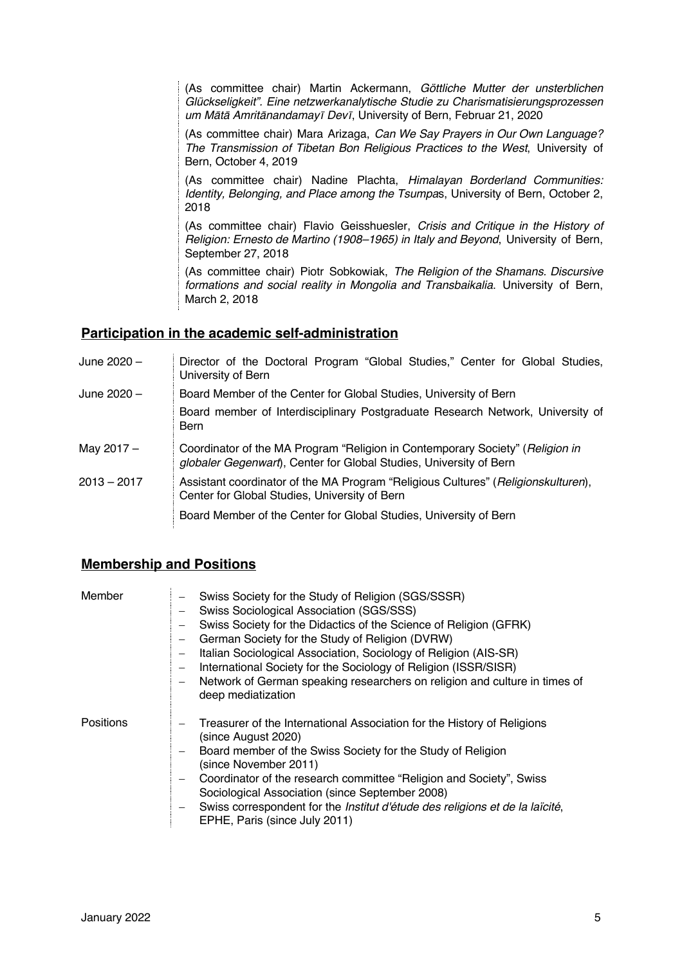(As committee chair) Martin Ackermann, *Göttliche Mutter der unsterblichen Glückseligkeit". Eine netzwerkanalytische Studie zu Charismatisierungsprozessen um M*ā*t*ā *Amrit*ā*nandamay*ī *Dev*ī, University of Bern, Februar 21, 2020

(As committee chair) Mara Arizaga, *Can We Say Prayers in Our Own Language? The Transmission of Tibetan Bon Religious Practices to the West*, University of Bern, October 4, 2019

(As committee chair) Nadine Plachta, *Himalayan Borderland Communities: Identity, Belonging, and Place among the Tsumpa*s, University of Bern, October 2, 2018

(As committee chair) Flavio Geisshuesler, *Crisis and Critique in the History of Religion: Ernesto de Martino (1908–1965) in Italy and Beyond*, University of Bern, September 27, 2018

(As committee chair) Piotr Sobkowiak, *The Religion of the Shamans. Discursive formations and social reality in Mongolia and Transbaikalia*. University of Bern, March 2, 2018

### **Participation in the academic self-administration**

| June 2020 –   | Director of the Doctoral Program "Global Studies," Center for Global Studies,<br>University of Bern                                                 |
|---------------|-----------------------------------------------------------------------------------------------------------------------------------------------------|
| June 2020 –   | Board Member of the Center for Global Studies, University of Bern                                                                                   |
|               | Board member of Interdisciplinary Postgraduate Research Network, University of<br>Bern                                                              |
| May 2017 -    | Coordinator of the MA Program "Religion in Contemporary Society" (Religion in<br>globaler Gegenwart), Center for Global Studies, University of Bern |
| $2013 - 2017$ | Assistant coordinator of the MA Program "Religious Cultures" (Religionskulturen),<br>Center for Global Studies, University of Bern                  |
|               | Board Member of the Center for Global Studies, University of Bern                                                                                   |

### **Membership and Positions**

| Member           | Swiss Society for the Study of Religion (SGS/SSSR)<br>Swiss Sociological Association (SGS/SSS)<br>Swiss Society for the Didactics of the Science of Religion (GFRK)<br>German Society for the Study of Religion (DVRW)<br>Italian Sociological Association, Sociology of Religion (AIS-SR)<br>International Society for the Sociology of Religion (ISSR/SISR)<br>Network of German speaking researchers on religion and culture in times of<br>deep mediatization |
|------------------|-------------------------------------------------------------------------------------------------------------------------------------------------------------------------------------------------------------------------------------------------------------------------------------------------------------------------------------------------------------------------------------------------------------------------------------------------------------------|
| <b>Positions</b> | Treasurer of the International Association for the History of Religions<br>(since August 2020)<br>Board member of the Swiss Society for the Study of Religion<br>(since November 2011)<br>Coordinator of the research committee "Religion and Society", Swiss<br>Sociological Association (since September 2008)<br>Swiss correspondent for the <i>Institut d'étude des religions et de la laïcité</i> ,<br>EPHE, Paris (since July 2011)                         |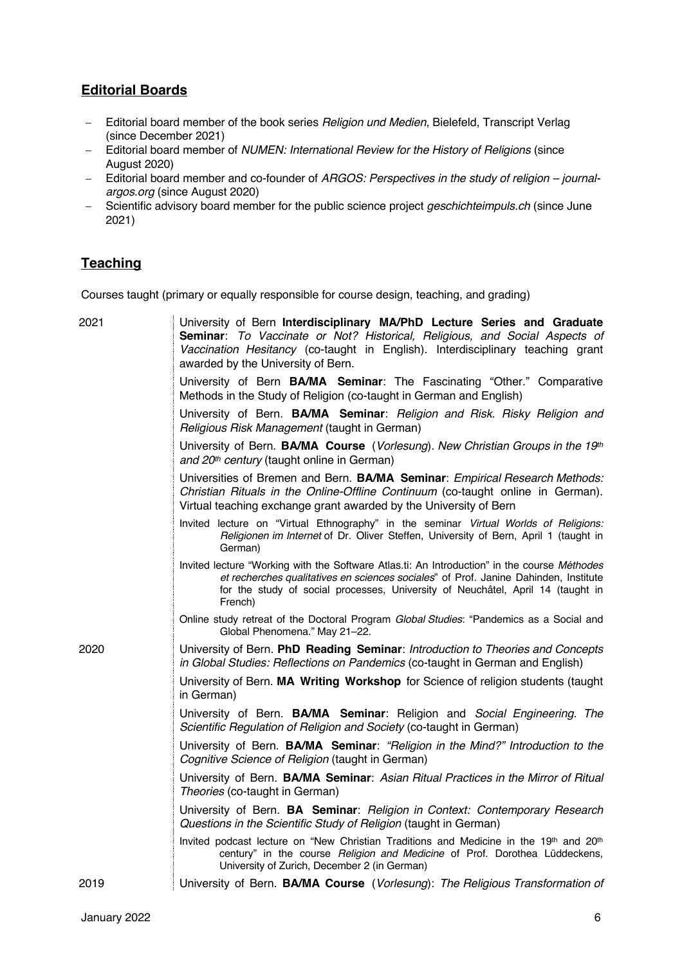### **Editorial Boards**

- Editorial board member of the book series *Religion und Medien*, Bielefeld, Transcript Verlag (since December 2021)
- Editorial board member of *NUMEN: International Review for the History of Religions* (since August 2020)
- Editorial board member and co-founder of *ARGOS: Perspectives in the study of religion – journalargos.org* (since August 2020)
- Scientific advisory board member for the public science project *geschichteimpuls.ch* (since June 2021)

### **Teaching**

Courses taught (primary or equally responsible for course design, teaching, and grading)

| 2021 | University of Bern Interdisciplinary MA/PhD Lecture Series and Graduate<br>Seminar: To Vaccinate or Not? Historical, Religious, and Social Aspects of<br>Vaccination Hesitancy (co-taught in English). Interdisciplinary teaching grant<br>awarded by the University of Bern.      |
|------|------------------------------------------------------------------------------------------------------------------------------------------------------------------------------------------------------------------------------------------------------------------------------------|
|      | University of Bern BA/MA Seminar: The Fascinating "Other." Comparative<br>Methods in the Study of Religion (co-taught in German and English)                                                                                                                                       |
|      | University of Bern. BA/MA Seminar: Religion and Risk. Risky Religion and<br>Religious Risk Management (taught in German)                                                                                                                                                           |
|      | University of Bern. <b>BA/MA Course</b> (Vorlesung). New Christian Groups in the 19th<br>and 20th century (taught online in German)                                                                                                                                                |
|      | Universities of Bremen and Bern. <b>BA/MA Seminar:</b> Empirical Research Methods:<br>Christian Rituals in the Online-Offline Continuum (co-taught online in German).<br>Virtual teaching exchange grant awarded by the University of Bern                                         |
|      | Invited lecture on "Virtual Ethnography" in the seminar Virtual Worlds of Religions:<br>Religionen im Internet of Dr. Oliver Steffen, University of Bern, April 1 (taught in<br>German)                                                                                            |
|      | Invited lecture "Working with the Software Atlas.ti: An Introduction" in the course Méthodes<br>et recherches qualitatives en sciences sociales" of Prof. Janine Dahinden, Institute<br>for the study of social processes, University of Neuchâtel, April 14 (taught in<br>French) |
|      | Online study retreat of the Doctoral Program Global Studies: "Pandemics as a Social and<br>Global Phenomena." May 21-22.                                                                                                                                                           |
| 2020 | University of Bern. PhD Reading Seminar: Introduction to Theories and Concepts<br>in Global Studies: Reflections on Pandemics (co-taught in German and English)                                                                                                                    |
|      | University of Bern. MA Writing Workshop for Science of religion students (taught<br>in German)                                                                                                                                                                                     |
|      | University of Bern. BA/MA Seminar: Religion and Social Engineering. The<br>Scientific Regulation of Religion and Society (co-taught in German)                                                                                                                                     |
|      | University of Bern. <b>BA/MA Seminar</b> : "Religion in the Mind?" Introduction to the<br>Cognitive Science of Religion (taught in German)                                                                                                                                         |
|      | University of Bern. BA/MA Seminar: Asian Ritual Practices in the Mirror of Ritual<br>Theories (co-taught in German)                                                                                                                                                                |
|      | University of Bern. <b>BA Seminar:</b> Religion in Context: Contemporary Research<br>Questions in the Scientific Study of Religion (taught in German)                                                                                                                              |
|      | Invited podcast lecture on "New Christian Traditions and Medicine in the 19th and 20th<br>century" in the course Religion and Medicine of Prof. Dorothea Lüddeckens,<br>University of Zurich, December 2 (in German)                                                               |
| 2019 | University of Bern. BA/MA Course (Vorlesung): The Religious Transformation of                                                                                                                                                                                                      |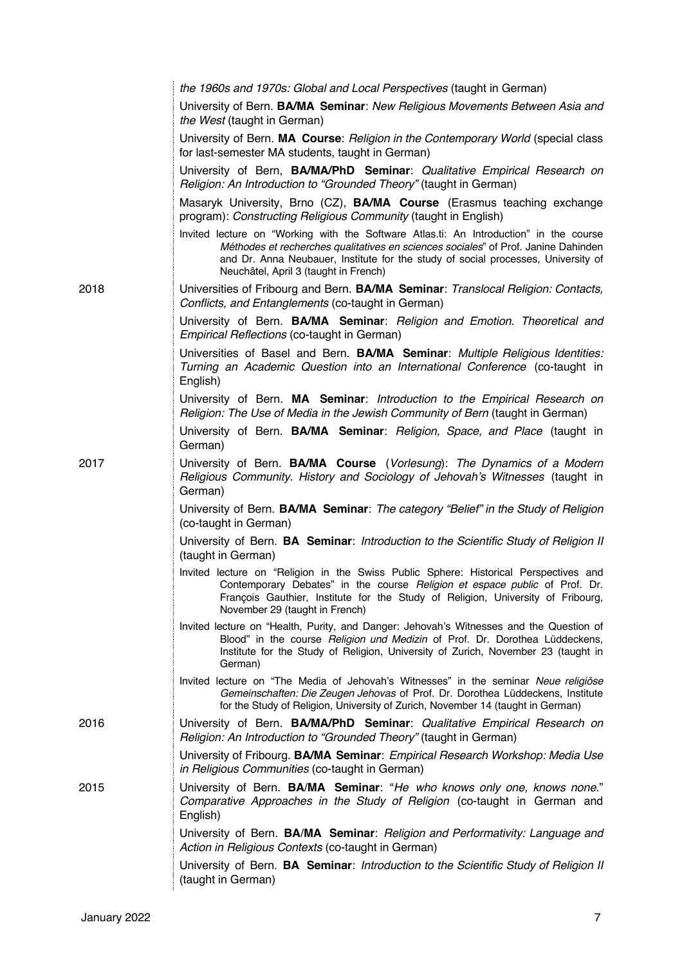|      | the 1960s and 1970s: Global and Local Perspectives (taught in German)                                                                                                                                                                                                                                      |
|------|------------------------------------------------------------------------------------------------------------------------------------------------------------------------------------------------------------------------------------------------------------------------------------------------------------|
|      | University of Bern. BA/MA Seminar: New Religious Movements Between Asia and<br>the West (taught in German)                                                                                                                                                                                                 |
|      | University of Bern. MA Course: Religion in the Contemporary World (special class<br>for last-semester MA students, taught in German)                                                                                                                                                                       |
|      | University of Bern, BA/MA/PhD Seminar: Qualitative Empirical Research on<br>Religion: An Introduction to "Grounded Theory" (taught in German)                                                                                                                                                              |
|      | Masaryk University, Brno (CZ), BA/MA Course (Erasmus teaching exchange<br>program): Constructing Religious Community (taught in English)                                                                                                                                                                   |
|      | Invited lecture on "Working with the Software Atlas.ti: An Introduction" in the course<br>Méthodes et recherches qualitatives en sciences sociales" of Prof. Janine Dahinden<br>and Dr. Anna Neubauer, Institute for the study of social processes, University of<br>Neuchâtel, April 3 (taught in French) |
| 2018 | Universities of Fribourg and Bern. BA/MA Seminar: Translocal Religion: Contacts,<br>Conflicts, and Entanglements (co-taught in German)                                                                                                                                                                     |
|      | University of Bern. <b>BA/MA Seminar</b> : Religion and Emotion. Theoretical and<br>Empirical Reflections (co-taught in German)                                                                                                                                                                            |
|      | Universities of Basel and Bern. <b>BA/MA Seminar:</b> Multiple Religious Identities:<br>Turning an Academic Question into an International Conference (co-taught in<br>English)                                                                                                                            |
|      | University of Bern. MA Seminar: Introduction to the Empirical Research on<br>Religion: The Use of Media in the Jewish Community of Bern (taught in German)                                                                                                                                                 |
|      | University of Bern. <b>BA/MA Seminar</b> : <i>Religion, Space, and Place</i> (taught in<br>German)                                                                                                                                                                                                         |
| 2017 | University of Bern. <b>BA/MA Course</b> (Vorlesung): The Dynamics of a Modern<br>Religious Community. History and Sociology of Jehovah's Witnesses (taught in<br>German)                                                                                                                                   |
|      | University of Bern. <b>BA/MA Seminar</b> : The category "Belief" in the Study of Religion<br>(co-taught in German)                                                                                                                                                                                         |
|      | University of Bern. <b>BA Seminar: Introduction to the Scientific Study of Religion II</b><br>(taught in German)                                                                                                                                                                                           |
|      | Invited lecture on "Religion in the Swiss Public Sphere: Historical Perspectives and<br>Contemporary Debates" in the course Religion et espace public of Prof. Dr.<br>François Gauthier, Institute for the Study of Religion, University of Fribourg,<br>November 29 (taught in French)                    |
|      | Invited lecture on "Health, Purity, and Danger: Jehovah's Witnesses and the Question of<br>Blood" in the course Religion und Medizin of Prof. Dr. Dorothea Lüddeckens,<br>Institute for the Study of Religion, University of Zurich, November 23 (taught in<br>German)                                     |
|      | Invited lecture on "The Media of Jehovah's Witnesses" in the seminar Neue religiöse<br>Gemeinschaften: Die Zeugen Jehovas of Prof. Dr. Dorothea Lüddeckens, Institute<br>for the Study of Religion, University of Zurich, November 14 (taught in German)                                                   |
| 2016 | University of Bern. <b>BA/MA/PhD Seminar</b> : Qualitative Empirical Research on<br>Religion: An Introduction to "Grounded Theory" (taught in German)                                                                                                                                                      |
|      | University of Fribourg. BA/MA Seminar: Empirical Research Workshop: Media Use<br>in Religious Communities (co-taught in German)                                                                                                                                                                            |
| 2015 | University of Bern. <b>BA/MA Seminar</b> : "He who knows only one, knows none."<br>Comparative Approaches in the Study of Religion (co-taught in German and<br>English)                                                                                                                                    |
|      | University of Bern. BA/MA Seminar: Religion and Performativity: Language and<br>Action in Religious Contexts (co-taught in German)                                                                                                                                                                         |
|      | University of Bern. <b>BA Seminar: Introduction to the Scientific Study of Religion II</b><br>(taught in German)                                                                                                                                                                                           |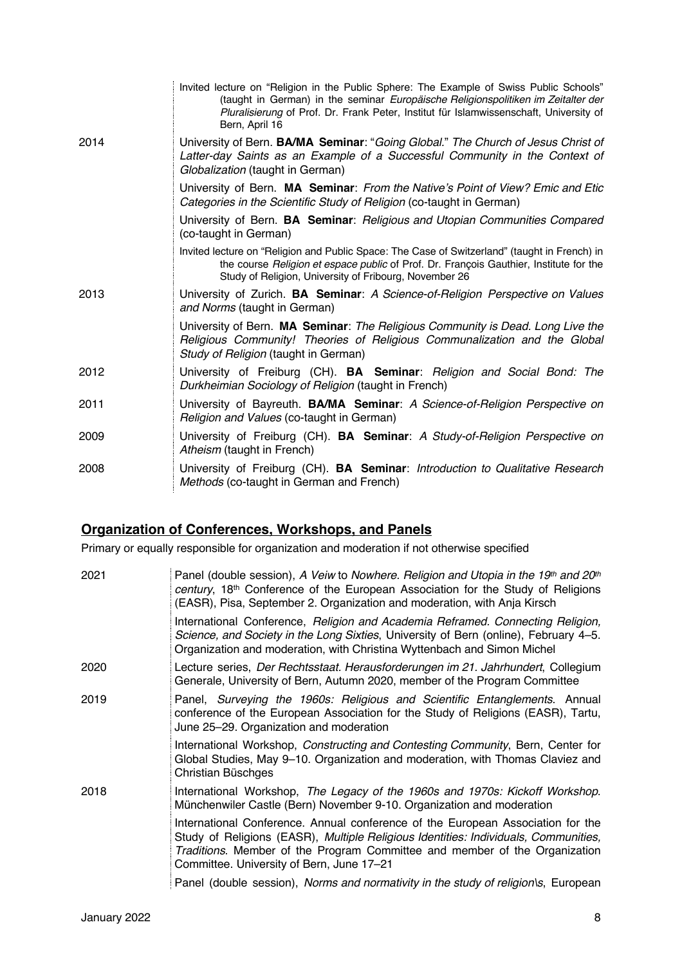|      | Invited lecture on "Religion in the Public Sphere: The Example of Swiss Public Schools"<br>(taught in German) in the seminar Europäische Religionspolitiken im Zeitalter der<br>Pluralisierung of Prof. Dr. Frank Peter, Institut für Islamwissenschaft, University of<br>Bern, April 16 |
|------|------------------------------------------------------------------------------------------------------------------------------------------------------------------------------------------------------------------------------------------------------------------------------------------|
| 2014 | University of Bern. BA/MA Seminar: "Going Global." The Church of Jesus Christ of<br>Latter-day Saints as an Example of a Successful Community in the Context of<br>Globalization (taught in German)                                                                                      |
|      | University of Bern. MA Seminar: From the Native's Point of View? Emic and Etic<br>Categories in the Scientific Study of Religion (co-taught in German)                                                                                                                                   |
|      | University of Bern. <b>BA Seminar: Religious and Utopian Communities Compared</b><br>(co-taught in German)                                                                                                                                                                               |
|      | Invited lecture on "Religion and Public Space: The Case of Switzerland" (taught in French) in<br>the course <i>Religion et espace public</i> of Prof. Dr. François Gauthier, Institute for the<br>Study of Religion, University of Fribourg, November 26                                 |
| 2013 | University of Zurich. <b>BA Seminar</b> : A Science-of-Religion Perspective on Values<br>and Norms (taught in German)                                                                                                                                                                    |
|      | University of Bern. MA Seminar: The Religious Community is Dead. Long Live the<br>Religious Community! Theories of Religious Communalization and the Global<br>Study of Religion (taught in German)                                                                                      |
| 2012 | University of Freiburg (CH). <b>BA Seminar</b> : Religion and Social Bond: The<br>Durkheimian Sociology of Religion (taught in French)                                                                                                                                                   |
| 2011 | University of Bayreuth. BA/MA Seminar: A Science-of-Religion Perspective on<br>Religion and Values (co-taught in German)                                                                                                                                                                 |
| 2009 | University of Freiburg (CH). <b>BA Seminar</b> : A Study-of-Religion Perspective on<br>Atheism (taught in French)                                                                                                                                                                        |
| 2008 | University of Freiburg (CH). <b>BA Seminar:</b> Introduction to Qualitative Research<br>Methods (co-taught in German and French)                                                                                                                                                         |

# **Organization of Conferences, Workshops, and Panels**

Primary or equally responsible for organization and moderation if not otherwise specified

| 2021 | Panel (double session), A Veiw to Nowhere. Religion and Utopia in the 19th and 20th<br>century, 18 <sup>th</sup> Conference of the European Association for the Study of Religions<br>(EASR), Pisa, September 2. Organization and moderation, with Anja Kirsch                                    |
|------|---------------------------------------------------------------------------------------------------------------------------------------------------------------------------------------------------------------------------------------------------------------------------------------------------|
|      | International Conference, Religion and Academia Reframed. Connecting Religion,<br>Science, and Society in the Long Sixties, University of Bern (online), February 4–5.<br>Organization and moderation, with Christina Wyttenbach and Simon Michel                                                 |
| 2020 | Lecture series, Der Rechtsstaat. Herausforderungen im 21. Jahrhundert, Collegium<br>Generale, University of Bern, Autumn 2020, member of the Program Committee                                                                                                                                    |
| 2019 | Panel, Surveying the 1960s: Religious and Scientific Entanglements. Annual<br>conference of the European Association for the Study of Religions (EASR), Tartu,<br>June 25-29. Organization and moderation                                                                                         |
|      | International Workshop, Constructing and Contesting Community, Bern, Center for<br>Global Studies, May 9–10. Organization and moderation, with Thomas Claviez and<br>Christian Büschges                                                                                                           |
| 2018 | International Workshop, The Legacy of the 1960s and 1970s: Kickoff Workshop.<br>Münchenwiler Castle (Bern) November 9-10. Organization and moderation                                                                                                                                             |
|      | International Conference. Annual conference of the European Association for the<br>Study of Religions (EASR), Multiple Religious Identities: Individuals, Communities,<br>Traditions. Member of the Program Committee and member of the Organization<br>Committee. University of Bern, June 17-21 |
|      | Panel (double session), Norms and normativity in the study of religion\s, European                                                                                                                                                                                                                |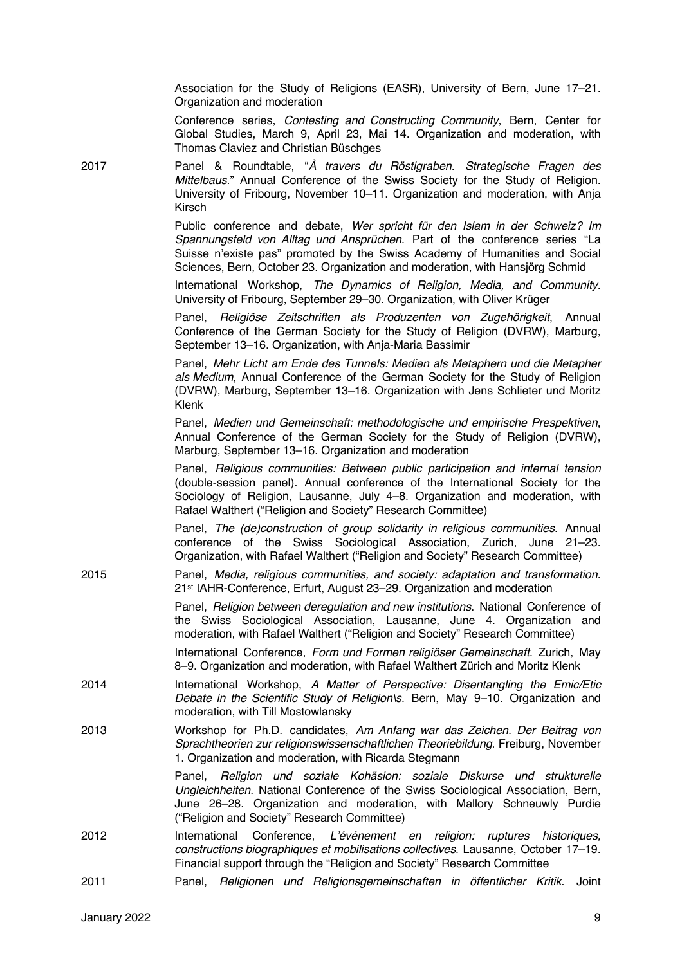|      | Association for the Study of Religions (EASR), University of Bern, June 17–21.<br>Organization and moderation                                                                                                                                                                                                            |
|------|--------------------------------------------------------------------------------------------------------------------------------------------------------------------------------------------------------------------------------------------------------------------------------------------------------------------------|
|      | Conference series, Contesting and Constructing Community, Bern, Center for<br>Global Studies, March 9, April 23, Mai 14. Organization and moderation, with<br>Thomas Claviez and Christian Büschges                                                                                                                      |
| 2017 | Panel & Roundtable, "A travers du Röstigraben. Strategische Fragen des<br>Mittelbaus." Annual Conference of the Swiss Society for the Study of Religion.<br>University of Fribourg, November 10-11. Organization and moderation, with Anja<br>Kirsch                                                                     |
|      | Public conference and debate, Wer spricht für den Islam in der Schweiz? Im<br>Spannungsfeld von Alltag und Ansprüchen. Part of the conference series "La<br>Suisse n'existe pas" promoted by the Swiss Academy of Humanities and Social<br>Sciences, Bern, October 23. Organization and moderation, with Hansjörg Schmid |
|      | International Workshop, The Dynamics of Religion, Media, and Community.<br>University of Fribourg, September 29-30. Organization, with Oliver Krüger                                                                                                                                                                     |
|      | Panel, Religiöse Zeitschriften als Produzenten von Zugehörigkeit, Annual<br>Conference of the German Society for the Study of Religion (DVRW), Marburg,<br>September 13-16. Organization, with Anja-Maria Bassimir                                                                                                       |
|      | Panel, Mehr Licht am Ende des Tunnels: Medien als Metaphern und die Metapher<br>als Medium, Annual Conference of the German Society for the Study of Religion<br>(DVRW), Marburg, September 13-16. Organization with Jens Schlieter und Moritz<br><b>Klenk</b>                                                           |
|      | Panel, Medien und Gemeinschaft: methodologische und empirische Prespektiven,<br>Annual Conference of the German Society for the Study of Religion (DVRW),<br>Marburg, September 13-16. Organization and moderation                                                                                                       |
|      | Panel, Religious communities: Between public participation and internal tension<br>(double-session panel). Annual conference of the International Society for the<br>Sociology of Religion, Lausanne, July 4-8. Organization and moderation, with<br>Rafael Walthert ("Religion and Society" Research Committee)         |
|      | Panel, The (de)construction of group solidarity in religious communities. Annual<br>conference of the Swiss Sociological Association, Zurich, June 21-23.<br>Organization, with Rafael Walthert ("Religion and Society" Research Committee)                                                                              |
| 2015 | Panel, Media, religious communities, and society: adaptation and transformation.<br>21st IAHR-Conference, Erfurt, August 23-29. Organization and moderation                                                                                                                                                              |
|      | Panel, Religion between deregulation and new institutions. National Conference of<br>the Swiss Sociological Association, Lausanne, June 4. Organization and<br>moderation, with Rafael Walthert ("Religion and Society" Research Committee)                                                                              |
|      | International Conference, Form und Formen religiöser Gemeinschaft. Zurich, May<br>8-9. Organization and moderation, with Rafael Walthert Zürich and Moritz Klenk                                                                                                                                                         |
| 2014 | International Workshop, A Matter of Perspective: Disentangling the Emic/Etic<br>Debate in the Scientific Study of Religion\s. Bern, May 9-10. Organization and<br>moderation, with Till Mostowlansky                                                                                                                     |
| 2013 | Workshop for Ph.D. candidates, Am Anfang war das Zeichen. Der Beitrag von<br>Sprachtheorien zur religionswissenschaftlichen Theoriebildung. Freiburg, November<br>1. Organization and moderation, with Ricarda Stegmann                                                                                                  |
|      | Panel, Religion und soziale Kohäsion: soziale Diskurse und strukturelle<br>Ungleichheiten. National Conference of the Swiss Sociological Association, Bern,<br>June 26-28. Organization and moderation, with Mallory Schneuwly Purdie<br>("Religion and Society" Research Committee)                                     |
| 2012 | Conference, L'événement en religion: ruptures historiques,<br>International<br>constructions biographiques et mobilisations collectives. Lausanne, October 17-19.<br>Financial support through the "Religion and Society" Research Committee                                                                             |
| 2011 | Panel, Religionen und Religionsgemeinschaften in öffentlicher Kritik.<br>Joint                                                                                                                                                                                                                                           |